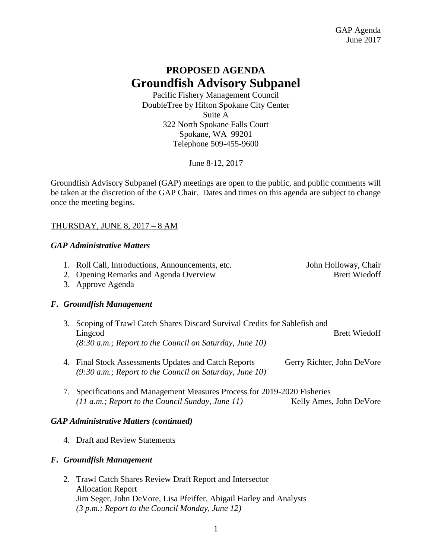# **PROPOSED AGENDA Groundfish Advisory Subpanel**

Pacific Fishery Management Council DoubleTree by Hilton Spokane City Center Suite A 322 North Spokane Falls Court Spokane, WA 99201 Telephone 509-455-9600

June 8-12, 2017

Groundfish Advisory Subpanel (GAP) meetings are open to the public, and public comments will be taken at the discretion of the GAP Chair. Dates and times on this agenda are subject to change once the meeting begins.

# THURSDAY, JUNE 8, 2017 – 8 AM

# *GAP Administrative Matters*

- 1. Roll Call, Introductions, Announcements, etc. John Holloway, Chair
- 2. Opening Remarks and Agenda Overview Brett Wiedoff

3. Approve Agenda

# *F. Groundfish Management*

- 3. Scoping of Trawl Catch Shares Discard Survival Credits for Sablefish and Lingcod Brett Wiedoff *(8:30 a.m.; Report to the Council on Saturday, June 10)*
- 4. Final Stock Assessments Updates and Catch Reports Gerry Richter, John DeVore *(9:30 a.m.; Report to the Council on Saturday, June 10)*
- 7. Specifications and Management Measures Process for 2019-2020 Fisheries *(11 a.m.; Report to the Council Sunday, June 11)* Kelly Ames, John DeVore

# *GAP Administrative Matters (continued)*

4. Draft and Review Statements

# *F. Groundfish Management*

2. Trawl Catch Shares Review Draft Report and Intersector Allocation Report Jim Seger, John DeVore, Lisa Pfeiffer, Abigail Harley and Analysts *(3 p.m.; Report to the Council Monday, June 12)*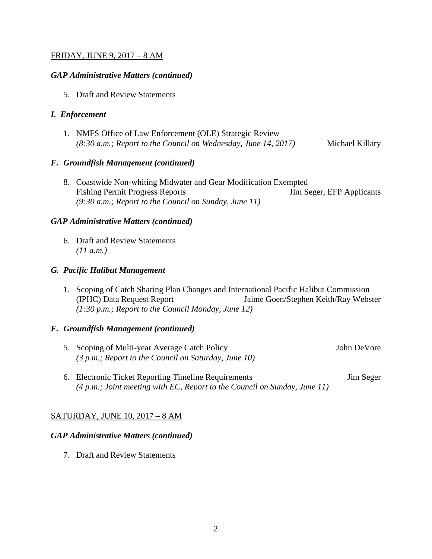# FRIDAY, JUNE 9, 2017 – 8 AM

#### *GAP Administrative Matters (continued)*

5. Draft and Review Statements

#### *I. Enforcement*

1. NMFS Office of Law Enforcement (OLE) Strategic Review *(8:30 a.m.; Report to the Council on Wednesday, June 14, 2017)* Michael Killary

#### *F. Groundfish Management (continued)*

8. Coastwide Non-whiting Midwater and Gear Modification Exempted Fishing Permit Progress Reports Jim Seger, EFP Applicants *(9:30 a.m.; Report to the Council on Sunday, June 11)*

# *GAP Administrative Matters (continued)*

6. Draft and Review Statements *(11 a.m.)*

#### *G. Pacific Halibut Management*

1. Scoping of Catch Sharing Plan Changes and International Pacific Halibut Commission (IPHC) Data Request Report Jaime Goen/Stephen Keith/Ray Webster *(1:30 p.m.; Report to the Council Monday, June 12)*

# *F. Groundfish Management (continued)*

- 5. Scoping of Multi-year Average Catch Policy John DeVore *(3 p.m.; Report to the Council on Saturday, June 10)*
- 6. Electronic Ticket Reporting Timeline Requirements Jim Seger *(4 p.m.; Joint meeting with EC, Report to the Council on Sunday, June 11)*

# SATURDAY, JUNE 10, 2017 – 8 AM

#### *GAP Administrative Matters (continued)*

7. Draft and Review Statements